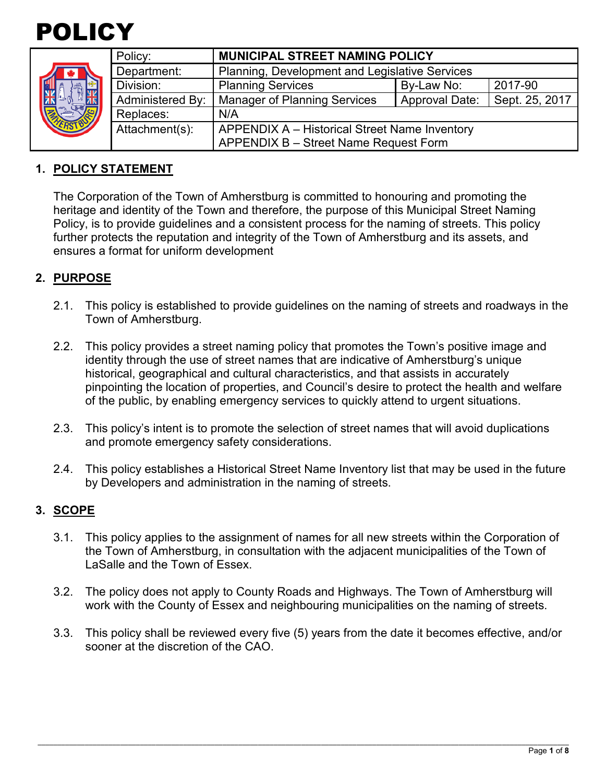

|  | Policy:          | <b>MUNICIPAL STREET NAMING POLICY</b>          |                       |                |  |
|--|------------------|------------------------------------------------|-----------------------|----------------|--|
|  | Department:      | Planning, Development and Legislative Services |                       |                |  |
|  | Division:        | <b>Planning Services</b>                       | By-Law No:            | 2017-90        |  |
|  | Administered By: | <b>Manager of Planning Services</b>            | <b>Approval Date:</b> | Sept. 25, 2017 |  |
|  | Replaces:        | N/A                                            |                       |                |  |
|  | Attachment(s):   | APPENDIX A - Historical Street Name Inventory  |                       |                |  |
|  |                  | APPENDIX B - Street Name Request Form          |                       |                |  |

# **1. POLICY STATEMENT**

The Corporation of the Town of Amherstburg is committed to honouring and promoting the heritage and identity of the Town and therefore, the purpose of this Municipal Street Naming Policy, is to provide guidelines and a consistent process for the naming of streets. This policy further protects the reputation and integrity of the Town of Amherstburg and its assets, and ensures a format for uniform development

# **2. PURPOSE**

- 2.1. This policy is established to provide guidelines on the naming of streets and roadways in the Town of Amherstburg.
- 2.2. This policy provides a street naming policy that promotes the Town's positive image and identity through the use of street names that are indicative of Amherstburg's unique historical, geographical and cultural characteristics, and that assists in accurately pinpointing the location of properties, and Council's desire to protect the health and welfare of the public, by enabling emergency services to quickly attend to urgent situations.
- 2.3. This policy's intent is to promote the selection of street names that will avoid duplications and promote emergency safety considerations.
- 2.4. This policy establishes a Historical Street Name Inventory list that may be used in the future by Developers and administration in the naming of streets.

### **3. SCOPE**

- 3.1. This policy applies to the assignment of names for all new streets within the Corporation of the Town of Amherstburg, in consultation with the adjacent municipalities of the Town of LaSalle and the Town of Essex.
- 3.2. The policy does not apply to County Roads and Highways. The Town of Amherstburg will work with the County of Essex and neighbouring municipalities on the naming of streets.
- 3.3. This policy shall be reviewed every five (5) years from the date it becomes effective, and/or sooner at the discretion of the CAO.

\_\_\_\_\_\_\_\_\_\_\_\_\_\_\_\_\_\_\_\_\_\_\_\_\_\_\_\_\_\_\_\_\_\_\_\_\_\_\_\_\_\_\_\_\_\_\_\_\_\_\_\_\_\_\_\_\_\_\_\_\_\_\_\_\_\_\_\_\_\_\_\_\_\_\_\_\_\_\_\_\_\_\_\_\_\_\_\_\_\_\_\_\_\_\_\_\_\_\_\_\_\_\_\_\_\_\_\_\_\_\_\_\_\_\_\_\_\_\_\_\_\_\_\_\_\_\_\_\_\_\_\_\_\_\_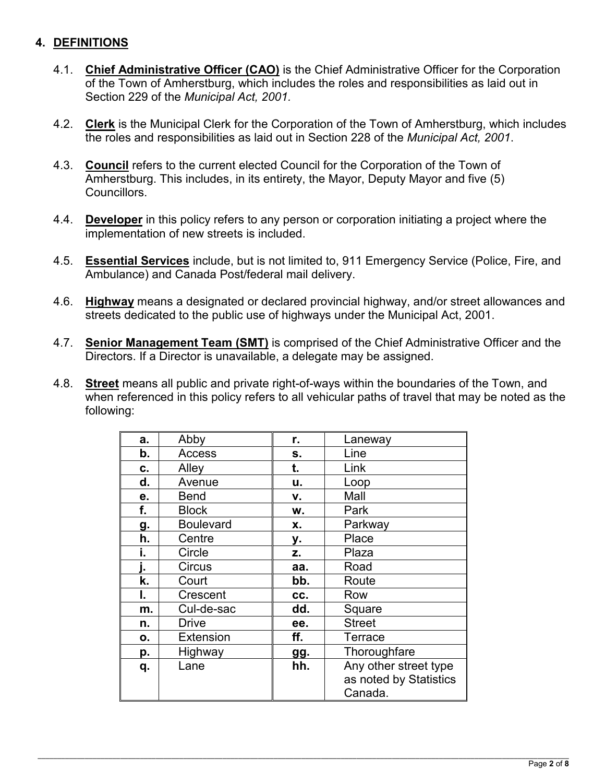# **4. DEFINITIONS**

- 4.1. **Chief Administrative Officer (CAO)** is the Chief Administrative Officer for the Corporation of the Town of Amherstburg, which includes the roles and responsibilities as laid out in Section 229 of the *Municipal Act, 2001.*
- 4.2. **Clerk** is the Municipal Clerk for the Corporation of the Town of Amherstburg, which includes the roles and responsibilities as laid out in Section 228 of the *Municipal Act, 2001*.
- 4.3. **Council** refers to the current elected Council for the Corporation of the Town of Amherstburg. This includes, in its entirety, the Mayor, Deputy Mayor and five (5) Councillors.
- 4.4. **Developer** in this policy refers to any person or corporation initiating a project where the implementation of new streets is included.
- 4.5. **Essential Services** include, but is not limited to, 911 Emergency Service (Police, Fire, and Ambulance) and Canada Post/federal mail delivery.
- 4.6. **Highway** means a designated or declared provincial highway, and/or street allowances and streets dedicated to the public use of highways under the Municipal Act, 2001.
- 4.7. **Senior Management Team (SMT)** is comprised of the Chief Administrative Officer and the Directors. If a Director is unavailable, a delegate may be assigned.
- 4.8. **Street** means all public and private right-of-ways within the boundaries of the Town, and when referenced in this policy refers to all vehicular paths of travel that may be noted as the following:

| a. | Abby             | r.         | Laneway                |
|----|------------------|------------|------------------------|
| b. | Access           | s.         | Line                   |
| c. | Alley            | t.         | Link                   |
| d. | Avenue           | u.         | Loop                   |
| е. | <b>Bend</b>      | ۷.         | Mall                   |
| f. | <b>Block</b>     | W.         | Park                   |
| g. | <b>Boulevard</b> | х.         | Parkway                |
| h. | Centre           | у.         | Place                  |
| i. | Circle           | Z.         | Plaza                  |
| ı. | Circus           | aa.        | Road                   |
| k. | Court            | bb.        | Route                  |
| ı. | Crescent         | CC.        | Row                    |
| m. | Cul-de-sac       | dd.        | Square                 |
| n. | <b>Drive</b>     | ee.        | <b>Street</b>          |
| Ο. | <b>Extension</b> | ff.        | Terrace                |
| p. | Highway          | <b>gg.</b> | Thoroughfare           |
| q. | Lane             | hh.        | Any other street type  |
|    |                  |            | as noted by Statistics |
|    |                  |            | Canada.                |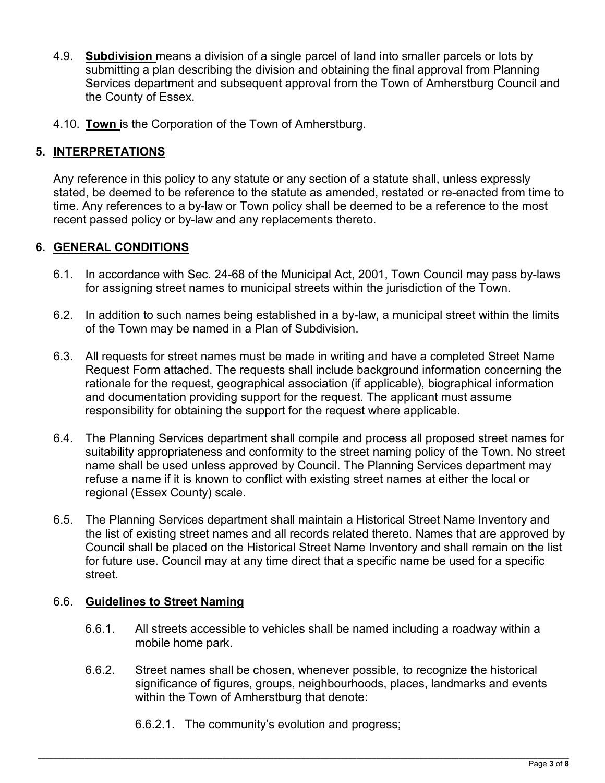- 4.9. **Subdivision** means a division of a single parcel of land into smaller parcels or lots by submitting a plan describing the division and obtaining the final approval from Planning Services department and subsequent approval from the Town of Amherstburg Council and the County of Essex.
- 4.10. **Town** is the Corporation of the Town of Amherstburg.

# **5. INTERPRETATIONS**

Any reference in this policy to any statute or any section of a statute shall, unless expressly stated, be deemed to be reference to the statute as amended, restated or re-enacted from time to time. Any references to a by-law or Town policy shall be deemed to be a reference to the most recent passed policy or by-law and any replacements thereto.

# **6. GENERAL CONDITIONS**

- 6.1. In accordance with Sec. 24-68 of the Municipal Act, 2001, Town Council may pass by-laws for assigning street names to municipal streets within the jurisdiction of the Town.
- 6.2. In addition to such names being established in a by-law, a municipal street within the limits of the Town may be named in a Plan of Subdivision.
- 6.3. All requests for street names must be made in writing and have a completed Street Name Request Form attached. The requests shall include background information concerning the rationale for the request, geographical association (if applicable), biographical information and documentation providing support for the request. The applicant must assume responsibility for obtaining the support for the request where applicable.
- 6.4. The Planning Services department shall compile and process all proposed street names for suitability appropriateness and conformity to the street naming policy of the Town. No street name shall be used unless approved by Council. The Planning Services department may refuse a name if it is known to conflict with existing street names at either the local or regional (Essex County) scale.
- 6.5. The Planning Services department shall maintain a Historical Street Name Inventory and the list of existing street names and all records related thereto. Names that are approved by Council shall be placed on the Historical Street Name Inventory and shall remain on the list for future use. Council may at any time direct that a specific name be used for a specific street.

# 6.6. **Guidelines to Street Naming**

- 6.6.1. All streets accessible to vehicles shall be named including a roadway within a mobile home park.
- 6.6.2. Street names shall be chosen, whenever possible, to recognize the historical significance of figures, groups, neighbourhoods, places, landmarks and events within the Town of Amherstburg that denote:
	- 6.6.2.1. The community's evolution and progress;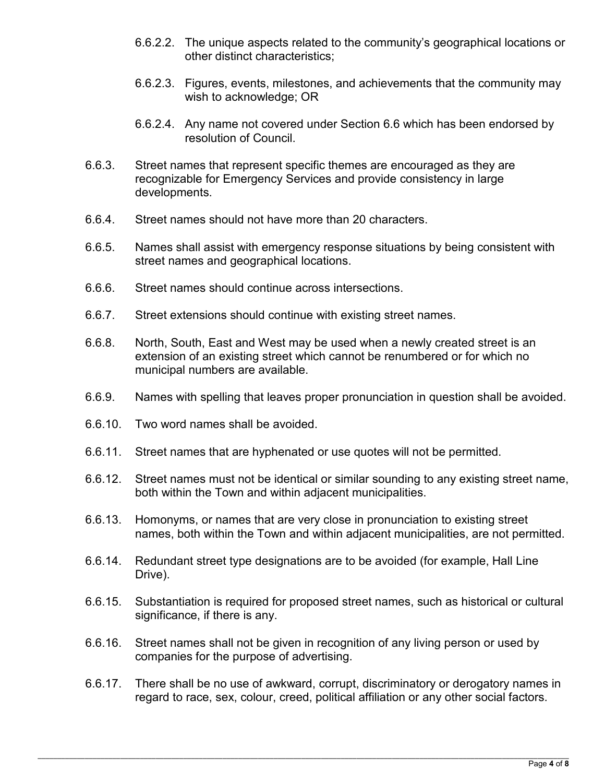- 6.6.2.2. The unique aspects related to the community's geographical locations or other distinct characteristics;
- 6.6.2.3. Figures, events, milestones, and achievements that the community may wish to acknowledge; OR
- 6.6.2.4. Any name not covered under Section 6.6 which has been endorsed by resolution of Council.
- 6.6.3. Street names that represent specific themes are encouraged as they are recognizable for Emergency Services and provide consistency in large developments.
- 6.6.4. Street names should not have more than 20 characters.
- 6.6.5. Names shall assist with emergency response situations by being consistent with street names and geographical locations.
- 6.6.6. Street names should continue across intersections.
- 6.6.7. Street extensions should continue with existing street names.
- 6.6.8. North, South, East and West may be used when a newly created street is an extension of an existing street which cannot be renumbered or for which no municipal numbers are available.
- 6.6.9. Names with spelling that leaves proper pronunciation in question shall be avoided.
- 6.6.10. Two word names shall be avoided.
- 6.6.11. Street names that are hyphenated or use quotes will not be permitted.
- 6.6.12. Street names must not be identical or similar sounding to any existing street name, both within the Town and within adjacent municipalities.
- 6.6.13. Homonyms, or names that are very close in pronunciation to existing street names, both within the Town and within adjacent municipalities, are not permitted.
- 6.6.14. Redundant street type designations are to be avoided (for example, Hall Line Drive).
- 6.6.15. Substantiation is required for proposed street names, such as historical or cultural significance, if there is any.
- 6.6.16. Street names shall not be given in recognition of any living person or used by companies for the purpose of advertising.
- 6.6.17. There shall be no use of awkward, corrupt, discriminatory or derogatory names in regard to race, sex, colour, creed, political affiliation or any other social factors.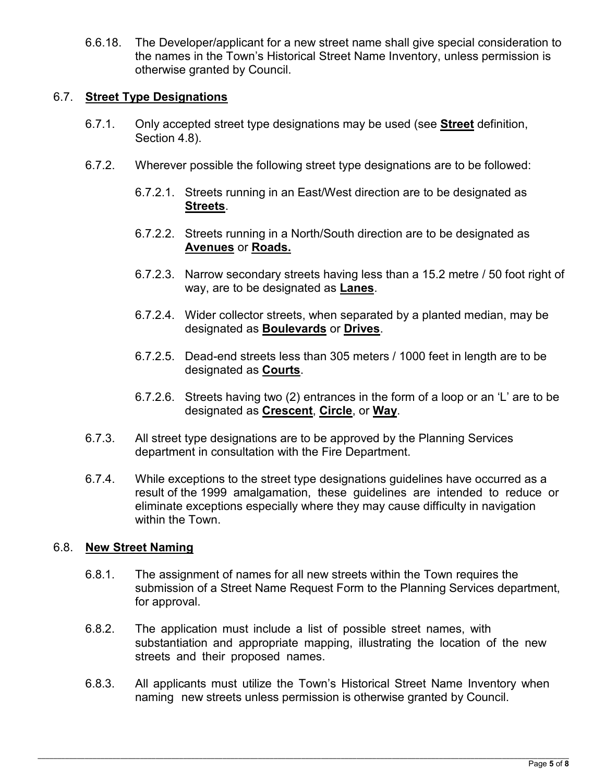6.6.18. The Developer/applicant for a new street name shall give special consideration to the names in the Town's Historical Street Name Inventory, unless permission is otherwise granted by Council.

# 6.7. **Street Type Designations**

- 6.7.1. Only accepted street type designations may be used (see **Street** definition, Section 4.8).
- 6.7.2. Wherever possible the following street type designations are to be followed:
	- 6.7.2.1. Streets running in an East/West direction are to be designated as **Streets**.
	- 6.7.2.2. Streets running in a North/South direction are to be designated as **Avenues** or **Roads.**
	- 6.7.2.3. Narrow secondary streets having less than a 15.2 metre / 50 foot right of way, are to be designated as **Lanes**.
	- 6.7.2.4. Wider collector streets, when separated by a planted median, may be designated as **Boulevards** or **Drives**.
	- 6.7.2.5. Dead-end streets less than 305 meters / 1000 feet in length are to be designated as **Courts**.
	- 6.7.2.6. Streets having two (2) entrances in the form of a loop or an 'L' are to be designated as **Crescent**, **Circle**, or **Way**.
- 6.7.3. All street type designations are to be approved by the Planning Services department in consultation with the Fire Department.
- 6.7.4. While exceptions to the street type designations guidelines have occurred as a result of the 1999 amalgamation, these guidelines are intended to reduce or eliminate exceptions especially where they may cause difficulty in navigation within the Town.

### 6.8. **New Street Naming**

- 6.8.1. The assignment of names for all new streets within the Town requires the submission of a Street Name Request Form to the Planning Services department, for approval.
- 6.8.2. The application must include a list of possible street names, with substantiation and appropriate mapping, illustrating the location of the new streets and their proposed names.
- 6.8.3. All applicants must utilize the Town's Historical Street Name Inventory when naming new streets unless permission is otherwise granted by Council.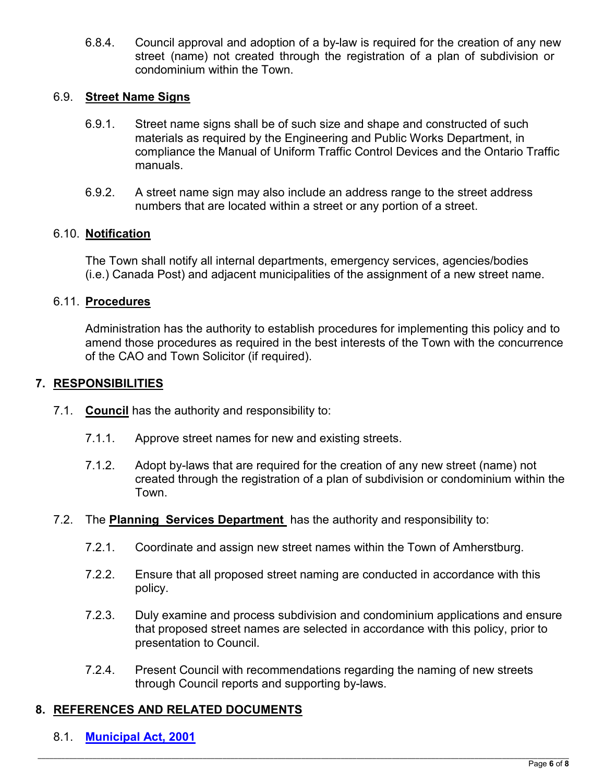6.8.4. Council approval and adoption of a by-law is required for the creation of any new street (name) not created through the registration of a plan of subdivision or condominium within the Town.

# 6.9. **Street Name Signs**

- 6.9.1. Street name signs shall be of such size and shape and constructed of such materials as required by the Engineering and Public Works Department, in compliance the Manual of Uniform Traffic Control Devices and the Ontario Traffic manuals.
- 6.9.2. A street name sign may also include an address range to the street address numbers that are located within a street or any portion of a street.

### 6.10. **Notification**

The Town shall notify all internal departments, emergency services, agencies/bodies (i.e.) Canada Post) and adjacent municipalities of the assignment of a new street name.

### 6.11. **Procedures**

Administration has the authority to establish procedures for implementing this policy and to amend those procedures as required in the best interests of the Town with the concurrence of the CAO and Town Solicitor (if required).

#### **7. RESPONSIBILITIES**

- 7.1. **Council** has the authority and responsibility to:
	- 7.1.1. Approve street names for new and existing streets.
	- 7.1.2. Adopt by-laws that are required for the creation of any new street (name) not created through the registration of a plan of subdivision or condominium within the Town.
- 7.2. The **Planning Services Department** has the authority and responsibility to:
	- 7.2.1. Coordinate and assign new street names within the Town of Amherstburg.
	- 7.2.2. Ensure that all proposed street naming are conducted in accordance with this policy.
	- 7.2.3. Duly examine and process subdivision and condominium applications and ensure that proposed street names are selected in accordance with this policy, prior to presentation to Council.
	- 7.2.4. Present Council with recommendations regarding the naming of new streets through Council reports and supporting by-laws.

### **8. REFERENCES AND RELATED DOCUMENTS**

8.1. **[Municipal Act, 2001](https://www.ontario.ca/laws/statute/01m25)**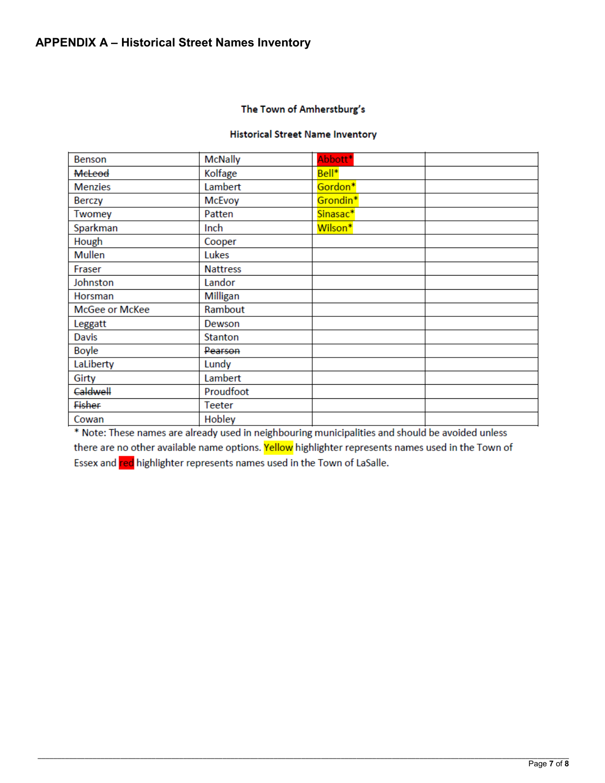#### The Town of Amherstburg's

#### **Historical Street Name Inventory**

| Benson         | <b>McNally</b>  | Abbott*              |  |
|----------------|-----------------|----------------------|--|
| <b>MeLeod</b>  | Kolfage         | Bell*                |  |
| <b>Menzies</b> | Lambert         | Gordon*              |  |
| <b>Berczy</b>  | <b>McEvoy</b>   | Grondin <sup>*</sup> |  |
| Twomey         | Patten          | Sinasac*             |  |
| Sparkman       | Inch            | Wilson*              |  |
| Hough          | Cooper          |                      |  |
| <b>Mullen</b>  | Lukes           |                      |  |
| Fraser         | <b>Nattress</b> |                      |  |
| Johnston       | Landor          |                      |  |
| Horsman        | Milligan        |                      |  |
| McGee or McKee | Rambout         |                      |  |
| Leggatt        | Dewson          |                      |  |
| <b>Davis</b>   | Stanton         |                      |  |
| Boyle          | Pearson         |                      |  |
| LaLiberty      | Lundy           |                      |  |
| Girty          | Lambert         |                      |  |
| Caldwell       | Proudfoot       |                      |  |
| Fisher         | Teeter          |                      |  |
| Cowan          | Hobley          |                      |  |

\* Note: These names are already used in neighbouring municipalities and should be avoided unless there are no other available name options. Yellow highlighter represents names used in the Town of Essex and red highlighter represents names used in the Town of LaSalle.